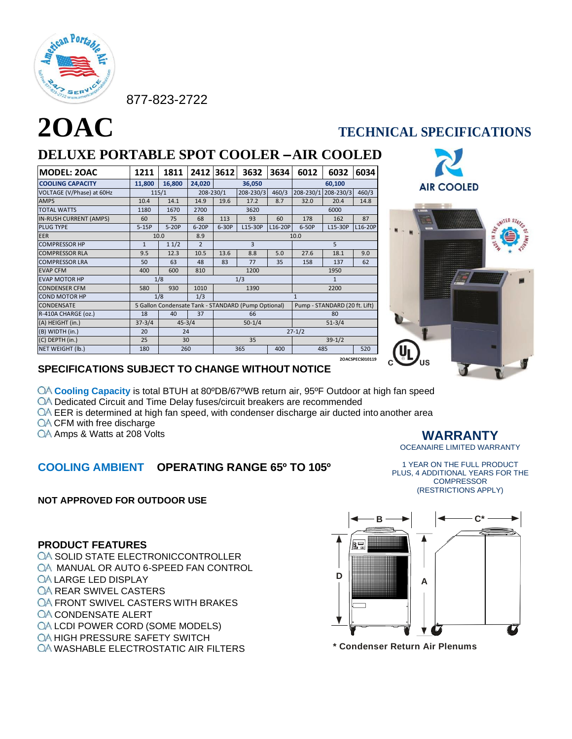

877-823-2722

# **2OAC TECHNICAL SPECIFICATIONS DELUXE PORTABLE SPOT COOLER –AIR COOLED**

| <b>MODEL: 20AC</b>            | 1211         | 1811                                                                                 | 2412           | 3612       | 3632         | 3634       | 6012         | 6032      | 6034            |  |
|-------------------------------|--------------|--------------------------------------------------------------------------------------|----------------|------------|--------------|------------|--------------|-----------|-----------------|--|
| <b>COOLING CAPACITY</b>       | 11,800       | 16,800                                                                               | 24,020         |            | 36,050       |            |              | 60,100    |                 |  |
| VOLTAGE (V/Phase) at 60Hz     |              | 115/1                                                                                | $208 - 230/1$  |            | 208-230/3    | 460/3      | 208-230/1    | 208-230/3 | 460/3           |  |
| <b>AMPS</b>                   | 10.4         | 14.1                                                                                 | 14.9           | 19.6       | 17.2         | 8.7        | 32.0         | 20.4      | 14.8            |  |
| <b>TOTAL WATTS</b>            | 1180         | 1670                                                                                 | 2700           |            | 3620         |            |              | 6000      |                 |  |
| <b>IN-RUSH CURRENT (AMPS)</b> | 60           | 75                                                                                   | 68             | 113        | 93           | 60         | 178          | 162       | 87              |  |
| <b>PLUG TYPE</b>              | $5-15P$      | $5-20P$                                                                              | $6-20P$        | $6-30P$    | L15-30P      | L16-20P    | 6-50P        | L15-30P   | L16-20P         |  |
| <b>EER</b>                    |              | 10.0                                                                                 | 8.9            | 10.0       |              |            |              |           |                 |  |
| <b>COMPRESSOR HP</b>          | $\mathbf{1}$ | 11/2                                                                                 | $\overline{2}$ | 3          |              | 5          |              |           |                 |  |
| <b>COMPRESSOR RLA</b>         | 9.5          | 12.3                                                                                 | 10.5           | 13.6       | 8.8          | 5.0        | 27.6         | 18.1      | 9.0             |  |
| <b>COMPRESSOR LRA</b>         | 50           | 63                                                                                   | 48             | 83         | 77           | 35         | 158          | 137       | 62              |  |
| <b>EVAP CFM</b>               | 400          | 600                                                                                  | 810            |            | 1200         |            |              | 1950      |                 |  |
| <b>EVAP MOTOR HP</b>          | 1/8          |                                                                                      | 1/3            |            | $\mathbf{1}$ |            |              |           |                 |  |
| <b>CONDENSER CFM</b>          | 580          | 930                                                                                  | 1010           | 1390       |              | 2200       |              |           |                 |  |
| <b>COND MOTOR HP</b>          |              | 1/8                                                                                  | 1/3            |            |              |            | $\mathbf{1}$ |           |                 |  |
| <b>CONDENSATE</b>             |              | 5 Gallon Condensate Tank - STANDARD (Pump Optional)<br>Pump - STANDARD (20 ft. Lift) |                |            |              |            |              |           |                 |  |
| R-410A CHARGE (oz.)           | 18           | 40                                                                                   | 37             | 66         |              | 80         |              |           |                 |  |
| (A) HEIGHT (in.)              | $37 - 3/4$   | $45 - 3/4$                                                                           |                | $50 - 1/4$ |              | $51 - 3/4$ |              |           |                 |  |
| (B) WIDTH (in.)               | 20           |                                                                                      | 24             |            | $27 - 1/2$   |            |              |           |                 |  |
| (C) DEPTH (in.)               | 25           | 30                                                                                   | 35             |            |              | $39-1/2$   |              |           |                 |  |
| NET WEIGHT (lb.)              | 180          | 260                                                                                  |                | 365<br>400 |              | 485        |              | 520       |                 |  |
|                               |              |                                                                                      |                |            |              |            |              |           | 2OACSPECS010119 |  |



### **SPECIFICATIONS SUBJECT TO CHANGE WITHOUT NOTICE**

**Cooling Capacity** is total BTUH at 80ºDB/67ºWB return air, 95ºF Outdoor at high fan speed

- OA Dedicated Circuit and Time Delay fuses/circuit breakers are recommended
- $\overline{OA}$  EER is determined at high fan speed, with condenser discharge air ducted into another area
- **QA CFM with free discharge**
- QA Amps & Watts at 208 Volts

### **COOLING AMBIENT OPERATING RANGE 65º TO 105º**

### **NOT APPROVED FOR OUTDOOR USE**

#### 1 YEAR ON THE FULL PRODUCT PLUS, 4 ADDITIONAL YEARS FOR THE **COMPRESSOR** (RESTRICTIONS APPLY)

**WARRANTY** OCEANAIRE LIMITED WARRANTY



### **PRODUCT FEATURES**

- OA SOLID STATE ELECTRONICCONTROLLER
- OA MANUAL OR AUTO 6-SPEED FAN CONTROL
- **QA LARGE LED DISPLAY**
- **QA REAR SWIVEL CASTERS**
- **QA FRONT SWIVEL CASTERS WITH BRAKES**
- **QA CONDENSATE ALERT**
- **QA LCDI POWER CORD (SOME MODELS)**
- **QA HIGH PRESSURE SAFETY SWITCH**
- **OA WASHABLE ELECTROSTATIC AIR FILTERS**